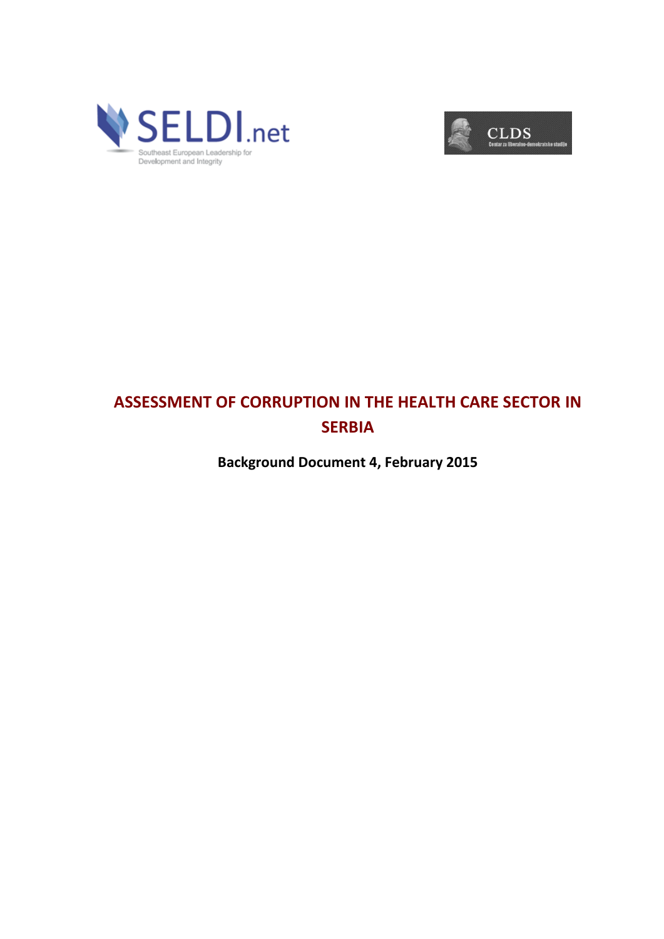



## **ASSESSMENT OF CORRUPTION IN THE HEALTH CARE SECTOR IN SERBIA**

**Background Document 4, February 2015**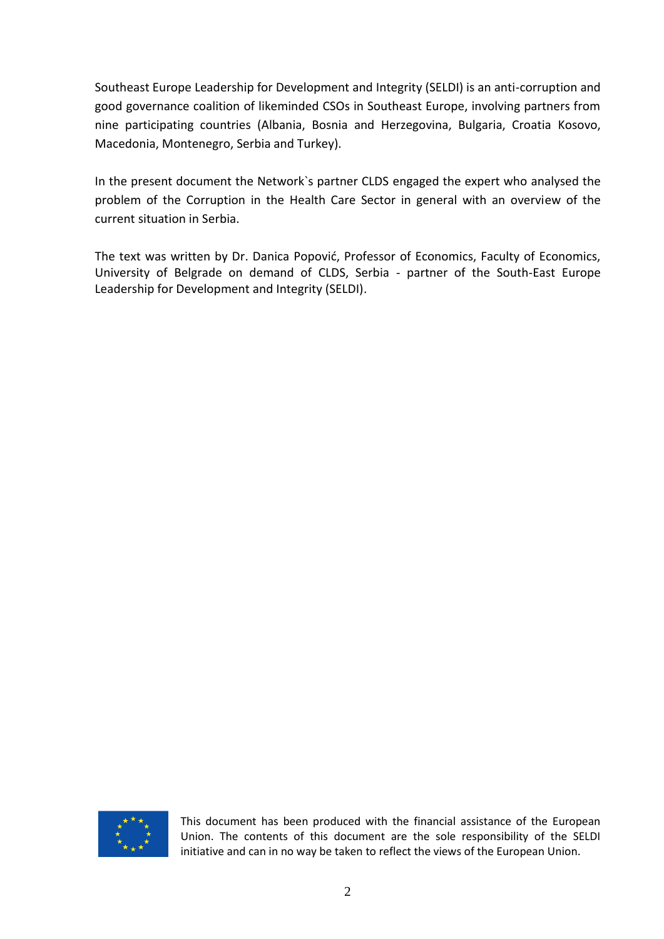Southeast Europe Leadership for Development and Integrity (SELDI) is an anti-corruption and good governance coalition of likeminded CSOs in Southeast Europe, involving partners from nine participating countries (Albania, Bosnia and Herzegovina, Bulgaria, Croatia Kosovo, Macedonia, Montenegro, Serbia and Turkey).

In the present document the Network`s partner CLDS engaged the expert who analysed the problem of the Corruption in the Health Care Sector in general with an overview of the current situation in Serbia.

The text was written by Dr. Danica Popović, Professor of Economics, Faculty of Economics, University of Belgrade on demand of CLDS, Serbia - partner of the South-East Europe Leadership for Development and Integrity (SELDI).



This document has been produced with the financial assistance of the European Union. The contents of this document are the sole responsibility of the SELDI initiative and can in no way be taken to reflect the views of the European Union.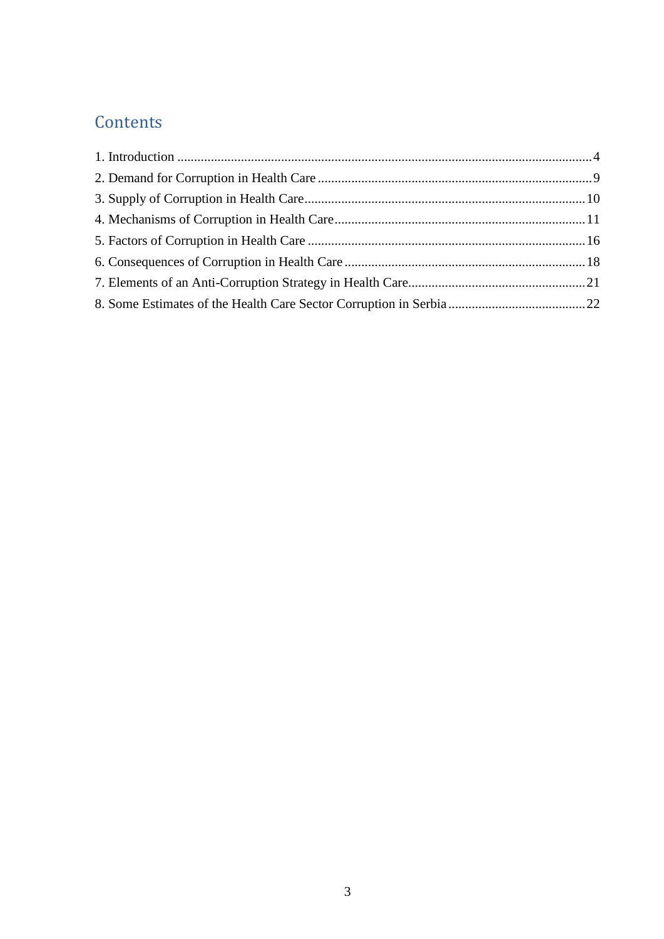# **Contents**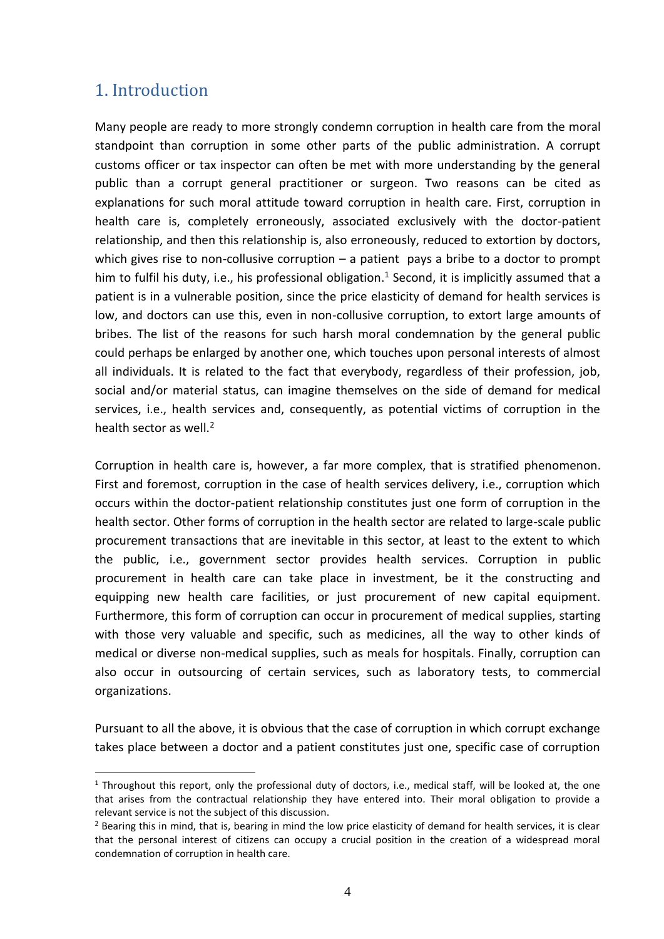#### <span id="page-3-0"></span>1. Introduction

<u>.</u>

Many people are ready to more strongly condemn corruption in health care from the moral standpoint than corruption in some other parts of the public administration. A corrupt customs officer or tax inspector can often be met with more understanding by the general public than a corrupt general practitioner or surgeon. Two reasons can be cited as explanations for such moral attitude toward corruption in health care. First, corruption in health care is, completely erroneously, associated exclusively with the doctor-patient relationship, and then this relationship is, also erroneously, reduced to extortion by doctors, which gives rise to non-collusive corruption  $-$  a patient pays a bribe to a doctor to prompt him to fulfil his duty, i.e., his professional obligation.<sup>1</sup> Second, it is implicitly assumed that a patient is in a vulnerable position, since the price elasticity of demand for health services is low, and doctors can use this, even in non-collusive corruption, to extort large amounts of bribes. The list of the reasons for such harsh moral condemnation by the general public could perhaps be enlarged by another one, which touches upon personal interests of almost all individuals. It is related to the fact that everybody, regardless of their profession, job, social and/or material status, can imagine themselves on the side of demand for medical services, i.e., health services and, consequently, as potential victims of corruption in the health sector as well.<sup>2</sup>

Corruption in health care is, however, a far more complex, that is stratified phenomenon. First and foremost, corruption in the case of health services delivery, i.e., corruption which occurs within the doctor-patient relationship constitutes just one form of corruption in the health sector. Other forms of corruption in the health sector are related to large-scale public procurement transactions that are inevitable in this sector, at least to the extent to which the public, i.e., government sector provides health services. Corruption in public procurement in health care can take place in investment, be it the constructing and equipping new health care facilities, or just procurement of new capital equipment. Furthermore, this form of corruption can occur in procurement of medical supplies, starting with those very valuable and specific, such as medicines, all the way to other kinds of medical or diverse non-medical supplies, such as meals for hospitals. Finally, corruption can also occur in outsourcing of certain services, such as laboratory tests, to commercial organizations.

Pursuant to all the above, it is obvious that the case of corruption in which corrupt exchange takes place between a doctor and a patient constitutes just one, specific case of corruption

 $1$  Throughout this report, only the professional duty of doctors, i.e., medical staff, will be looked at, the one that arises from the contractual relationship they have entered into. Their moral obligation to provide a relevant service is not the subject of this discussion.

 $<sup>2</sup>$  Bearing this in mind, that is, bearing in mind the low price elasticity of demand for health services, it is clear</sup> that the personal interest of citizens can occupy a crucial position in the creation of a widespread moral condemnation of corruption in health care.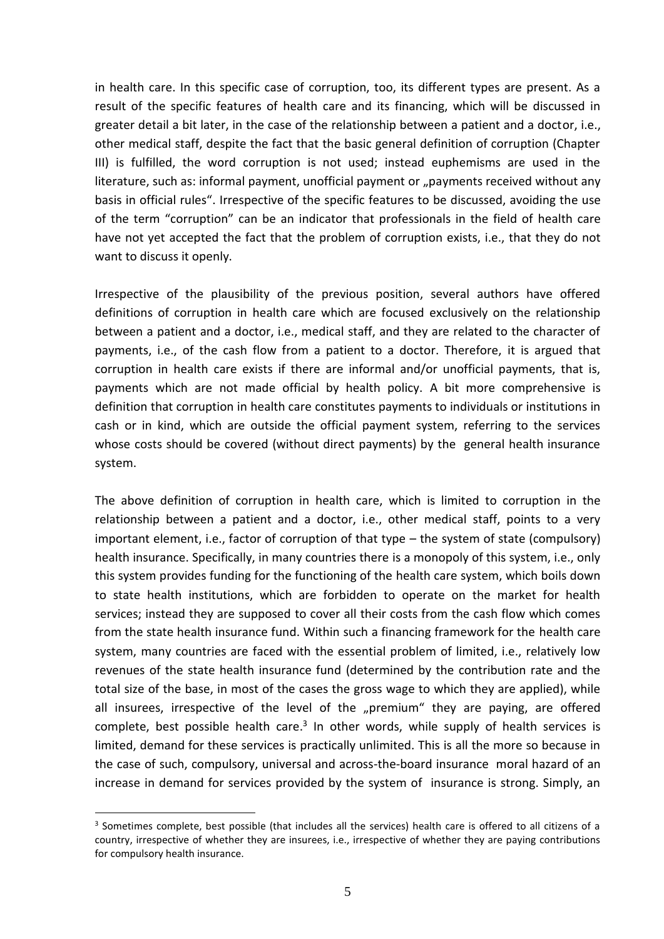in health care. In this specific case of corruption, too, its different types are present. As a result of the specific features of health care and its financing, which will be discussed in greater detail a bit later, in the case of the relationship between a patient and a doctor, i.e., other medical staff, despite the fact that the basic general definition of corruption (Chapter III) is fulfilled, the word corruption is not used; instead euphemisms are used in the literature, such as: informal payment, unofficial payment or "payments received without any basis in official rules". Irrespective of the specific features to be discussed, avoiding the use of the term "corruption" can be an indicator that professionals in the field of health care have not yet accepted the fact that the problem of corruption exists, i.e., that they do not want to discuss it openly.

Irrespective of the plausibility of the previous position, several authors have offered definitions of corruption in health care which are focused exclusively on the relationship between a patient and a doctor, i.e., medical staff, and they are related to the character of payments, i.e., of the cash flow from a patient to a doctor. Therefore, it is argued that corruption in health care exists if there are informal and/or unofficial payments, that is, payments which are not made official by health policy. A bit more comprehensive is definition that corruption in health care constitutes payments to individuals or institutions in cash or in kind, which are outside the official payment system, referring to the services whose costs should be covered (without direct payments) by the general health insurance system.

The above definition of corruption in health care, which is limited to corruption in the relationship between a patient and a doctor, i.e., other medical staff, points to a very important element, i.e., factor of corruption of that type – the system of state (compulsory) health insurance. Specifically, in many countries there is a monopoly of this system, i.e., only this system provides funding for the functioning of the health care system, which boils down to state health institutions, which are forbidden to operate on the market for health services; instead they are supposed to cover all their costs from the cash flow which comes from the state health insurance fund. Within such a financing framework for the health care system, many countries are faced with the essential problem of limited, i.e., relatively low revenues of the state health insurance fund (determined by the contribution rate and the total size of the base, in most of the cases the gross wage to which they are applied), while all insurees, irrespective of the level of the "premium" they are paying, are offered complete, best possible health care.<sup>3</sup> In other words, while supply of health services is limited, demand for these services is practically unlimited. This is all the more so because in the case of such, compulsory, universal and across-the-board insurance moral hazard of an increase in demand for services provided by the system of insurance is strong. Simply, an

<sup>&</sup>lt;sup>3</sup> Sometimes complete, best possible (that includes all the services) health care is offered to all citizens of a country, irrespective of whether they are insurees, i.e., irrespective of whether they are paying contributions for compulsory health insurance.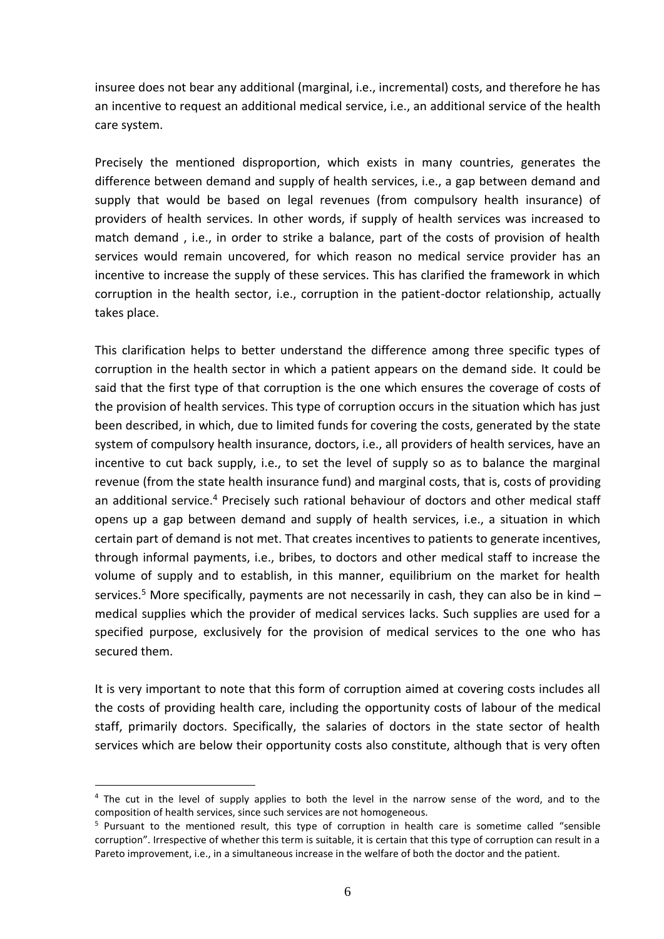insuree does not bear any additional (marginal, i.e., incremental) costs, and therefore he has an incentive to request an additional medical service, i.e., an additional service of the health care system.

Precisely the mentioned disproportion, which exists in many countries, generates the difference between demand and supply of health services, i.e., a gap between demand and supply that would be based on legal revenues (from compulsory health insurance) of providers of health services. In other words, if supply of health services was increased to match demand , i.e., in order to strike a balance, part of the costs of provision of health services would remain uncovered, for which reason no medical service provider has an incentive to increase the supply of these services. This has clarified the framework in which corruption in the health sector, i.e., corruption in the patient-doctor relationship, actually takes place.

This clarification helps to better understand the difference among three specific types of corruption in the health sector in which a patient appears on the demand side. It could be said that the first type of that corruption is the one which ensures the coverage of costs of the provision of health services. This type of corruption occurs in the situation which has just been described, in which, due to limited funds for covering the costs, generated by the state system of compulsory health insurance, doctors, i.e., all providers of health services, have an incentive to cut back supply, i.e., to set the level of supply so as to balance the marginal revenue (from the state health insurance fund) and marginal costs, that is, costs of providing an additional service.<sup>4</sup> Precisely such rational behaviour of doctors and other medical staff opens up a gap between demand and supply of health services, i.e., a situation in which certain part of demand is not met. That creates incentives to patients to generate incentives, through informal payments, i.e., bribes, to doctors and other medical staff to increase the volume of supply and to establish, in this manner, equilibrium on the market for health services.<sup>5</sup> More specifically, payments are not necessarily in cash, they can also be in kind  $$ medical supplies which the provider of medical services lacks. Such supplies are used for a specified purpose, exclusively for the provision of medical services to the one who has secured them.

It is very important to note that this form of corruption aimed at covering costs includes all the costs of providing health care, including the opportunity costs of labour of the medical staff, primarily doctors. Specifically, the salaries of doctors in the state sector of health services which are below their opportunity costs also constitute, although that is very often

 $4$  The cut in the level of supply applies to both the level in the narrow sense of the word, and to the composition of health services, since such services are not homogeneous.

<sup>5</sup> Pursuant to the mentioned result, this type of corruption in health care is sometime called "sensible corruption". Irrespective of whether this term is suitable, it is certain that this type of corruption can result in a Pareto improvement, i.e., in a simultaneous increase in the welfare of both the doctor and the patient.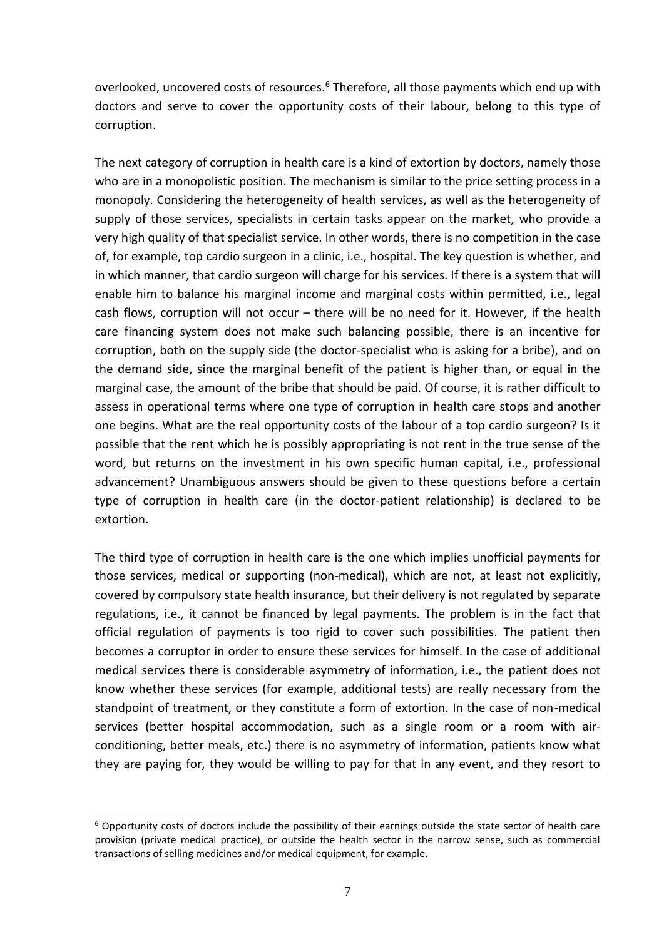overlooked, uncovered costs of resources.<sup>6</sup> Therefore, all those payments which end up with doctors and serve to cover the opportunity costs of their labour, belong to this type of corruption.

The next category of corruption in health care is a kind of extortion by doctors, namely those who are in a monopolistic position. The mechanism is similar to the price setting process in a monopoly. Considering the heterogeneity of health services, as well as the heterogeneity of supply of those services, specialists in certain tasks appear on the market, who provide a very high quality of that specialist service. In other words, there is no competition in the case of, for example, top cardio surgeon in a clinic, i.e., hospital. The key question is whether, and in which manner, that cardio surgeon will charge for his services. If there is a system that will enable him to balance his marginal income and marginal costs within permitted, i.e., legal cash flows, corruption will not occur – there will be no need for it. However, if the health care financing system does not make such balancing possible, there is an incentive for corruption, both on the supply side (the doctor-specialist who is asking for a bribe), and on the demand side, since the marginal benefit of the patient is higher than, or equal in the marginal case, the amount of the bribe that should be paid. Of course, it is rather difficult to assess in operational terms where one type of corruption in health care stops and another one begins. What are the real opportunity costs of the labour of a top cardio surgeon? Is it possible that the rent which he is possibly appropriating is not rent in the true sense of the word, but returns on the investment in his own specific human capital, i.e., professional advancement? Unambiguous answers should be given to these questions before a certain type of corruption in health care (in the doctor-patient relationship) is declared to be extortion.

The third type of corruption in health care is the one which implies unofficial payments for those services, medical or supporting (non-medical), which are not, at least not explicitly, covered by compulsory state health insurance, but their delivery is not regulated by separate regulations, i.e., it cannot be financed by legal payments. The problem is in the fact that official regulation of payments is too rigid to cover such possibilities. The patient then becomes a corruptor in order to ensure these services for himself. In the case of additional medical services there is considerable asymmetry of information, i.e., the patient does not know whether these services (for example, additional tests) are really necessary from the standpoint of treatment, or they constitute a form of extortion. In the case of non-medical services (better hospital accommodation, such as a single room or a room with airconditioning, better meals, etc.) there is no asymmetry of information, patients know what they are paying for, they would be willing to pay for that in any event, and they resort to

 $6$  Opportunity costs of doctors include the possibility of their earnings outside the state sector of health care provision (private medical practice), or outside the health sector in the narrow sense, such as commercial transactions of selling medicines and/or medical equipment, for example.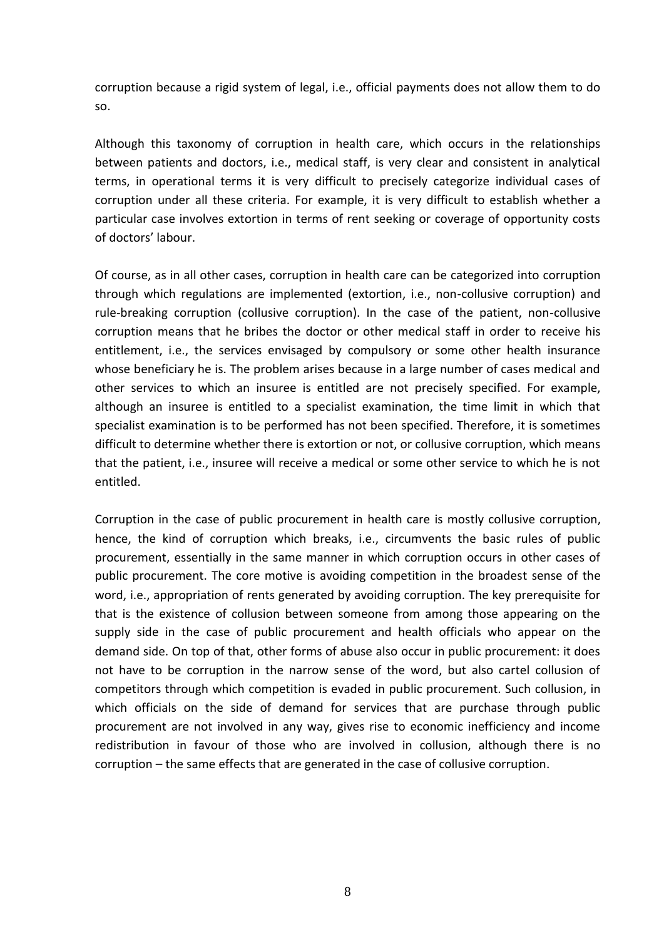corruption because a rigid system of legal, i.e., official payments does not allow them to do so.

Although this taxonomy of corruption in health care, which occurs in the relationships between patients and doctors, i.e., medical staff, is very clear and consistent in analytical terms, in operational terms it is very difficult to precisely categorize individual cases of corruption under all these criteria. For example, it is very difficult to establish whether a particular case involves extortion in terms of rent seeking or coverage of opportunity costs of doctors' labour.

Of course, as in all other cases, corruption in health care can be categorized into corruption through which regulations are implemented (extortion, i.e., non-collusive corruption) and rule-breaking corruption (collusive corruption). In the case of the patient, non-collusive corruption means that he bribes the doctor or other medical staff in order to receive his entitlement, i.e., the services envisaged by compulsory or some other health insurance whose beneficiary he is. The problem arises because in a large number of cases medical and other services to which an insuree is entitled are not precisely specified. For example, although an insuree is entitled to a specialist examination, the time limit in which that specialist examination is to be performed has not been specified. Therefore, it is sometimes difficult to determine whether there is extortion or not, or collusive corruption, which means that the patient, i.e., insuree will receive a medical or some other service to which he is not entitled.

Corruption in the case of public procurement in health care is mostly collusive corruption, hence, the kind of corruption which breaks, i.e., circumvents the basic rules of public procurement, essentially in the same manner in which corruption occurs in other cases of public procurement. The core motive is avoiding competition in the broadest sense of the word, i.e., appropriation of rents generated by avoiding corruption. The key prerequisite for that is the existence of collusion between someone from among those appearing on the supply side in the case of public procurement and health officials who appear on the demand side. On top of that, other forms of abuse also occur in public procurement: it does not have to be corruption in the narrow sense of the word, but also cartel collusion of competitors through which competition is evaded in public procurement. Such collusion, in which officials on the side of demand for services that are purchase through public procurement are not involved in any way, gives rise to economic inefficiency and income redistribution in favour of those who are involved in collusion, although there is no corruption – the same effects that are generated in the case of collusive corruption.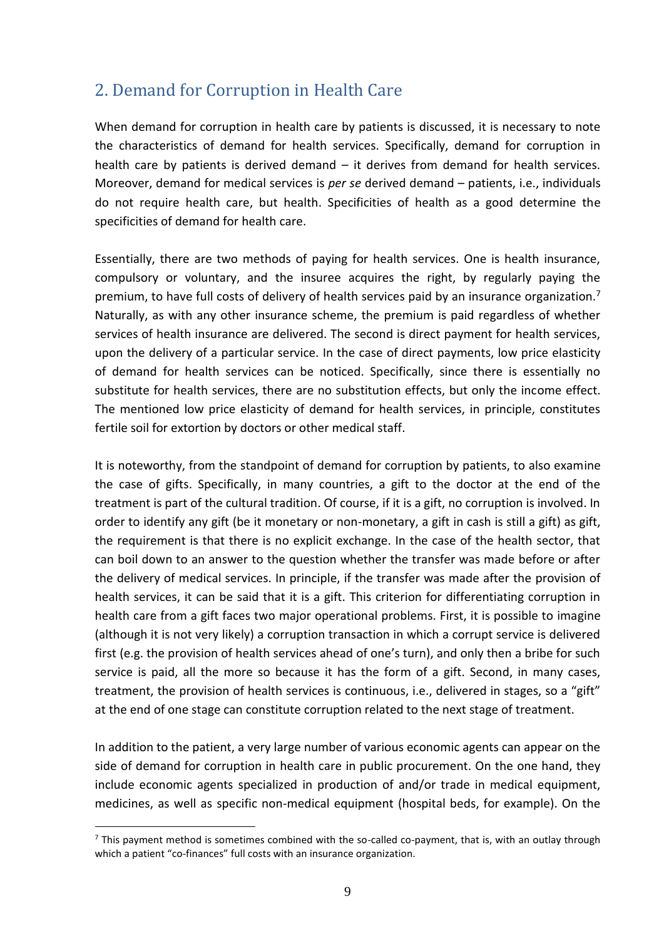## <span id="page-8-0"></span>2. Demand for Corruption in Health Care

When demand for corruption in health care by patients is discussed, it is necessary to note the characteristics of demand for health services. Specifically, demand for corruption in health care by patients is derived demand – it derives from demand for health services. Moreover, demand for medical services is *per se* derived demand – patients, i.e., individuals do not require health care, but health. Specificities of health as a good determine the specificities of demand for health care.

Essentially, there are two methods of paying for health services. One is health insurance, compulsory or voluntary, and the insuree acquires the right, by regularly paying the premium, to have full costs of delivery of health services paid by an insurance organization.<sup>7</sup> Naturally, as with any other insurance scheme, the premium is paid regardless of whether services of health insurance are delivered. The second is direct payment for health services, upon the delivery of a particular service. In the case of direct payments, low price elasticity of demand for health services can be noticed. Specifically, since there is essentially no substitute for health services, there are no substitution effects, but only the income effect. The mentioned low price elasticity of demand for health services, in principle, constitutes fertile soil for extortion by doctors or other medical staff.

It is noteworthy, from the standpoint of demand for corruption by patients, to also examine the case of gifts. Specifically, in many countries, a gift to the doctor at the end of the treatment is part of the cultural tradition. Of course, if it is a gift, no corruption is involved. In order to identify any gift (be it monetary or non-monetary, a gift in cash is still a gift) as gift, the requirement is that there is no explicit exchange. In the case of the health sector, that can boil down to an answer to the question whether the transfer was made before or after the delivery of medical services. In principle, if the transfer was made after the provision of health services, it can be said that it is a gift. This criterion for differentiating corruption in health care from a gift faces two major operational problems. First, it is possible to imagine (although it is not very likely) a corruption transaction in which a corrupt service is delivered first (e.g. the provision of health services ahead of one's turn), and only then a bribe for such service is paid, all the more so because it has the form of a gift. Second, in many cases, treatment, the provision of health services is continuous, i.e., delivered in stages, so a "gift" at the end of one stage can constitute corruption related to the next stage of treatment.

In addition to the patient, a very large number of various economic agents can appear on the side of demand for corruption in health care in public procurement. On the one hand, they include economic agents specialized in production of and/or trade in medical equipment, medicines, as well as specific non-medical equipment (hospital beds, for example). On the

 $<sup>7</sup>$  This payment method is sometimes combined with the so-called co-payment, that is, with an outlay through</sup> which a patient "co-finances" full costs with an insurance organization.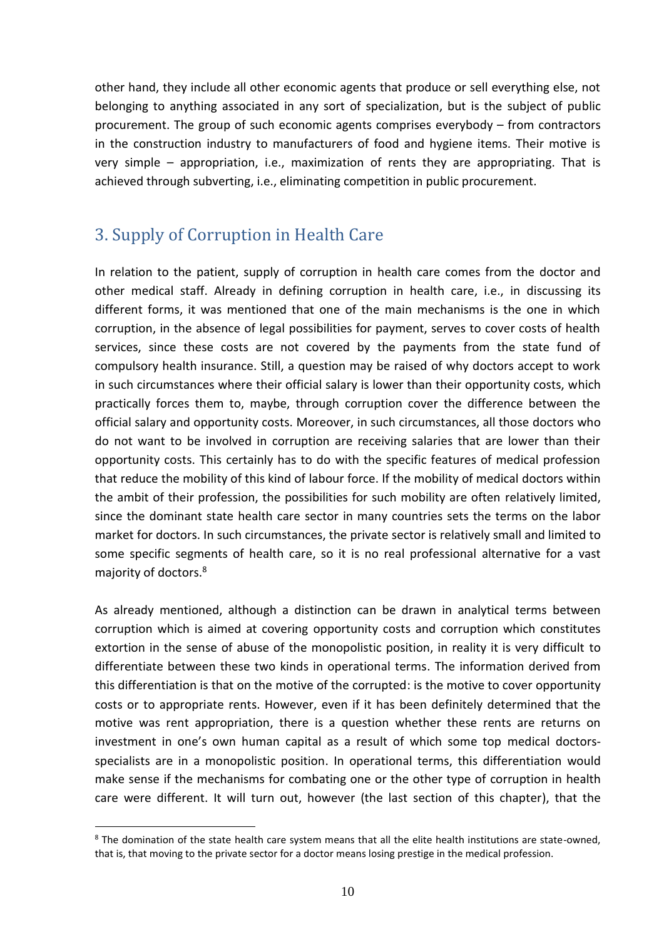other hand, they include all other economic agents that produce or sell everything else, not belonging to anything associated in any sort of specialization, but is the subject of public procurement. The group of such economic agents comprises everybody – from contractors in the construction industry to manufacturers of food and hygiene items. Their motive is very simple – appropriation, i.e., maximization of rents they are appropriating. That is achieved through subverting, i.e., eliminating competition in public procurement.

## <span id="page-9-0"></span>3. Supply of Corruption in Health Care

In relation to the patient, supply of corruption in health care comes from the doctor and other medical staff. Already in defining corruption in health care, i.e., in discussing its different forms, it was mentioned that one of the main mechanisms is the one in which corruption, in the absence of legal possibilities for payment, serves to cover costs of health services, since these costs are not covered by the payments from the state fund of compulsory health insurance. Still, a question may be raised of why doctors accept to work in such circumstances where their official salary is lower than their opportunity costs, which practically forces them to, maybe, through corruption cover the difference between the official salary and opportunity costs. Moreover, in such circumstances, all those doctors who do not want to be involved in corruption are receiving salaries that are lower than their opportunity costs. This certainly has to do with the specific features of medical profession that reduce the mobility of this kind of labour force. If the mobility of medical doctors within the ambit of their profession, the possibilities for such mobility are often relatively limited, since the dominant state health care sector in many countries sets the terms on the labor market for doctors. In such circumstances, the private sector is relatively small and limited to some specific segments of health care, so it is no real professional alternative for a vast majority of doctors. 8

As already mentioned, although a distinction can be drawn in analytical terms between corruption which is aimed at covering opportunity costs and corruption which constitutes extortion in the sense of abuse of the monopolistic position, in reality it is very difficult to differentiate between these two kinds in operational terms. The information derived from this differentiation is that on the motive of the corrupted: is the motive to cover opportunity costs or to appropriate rents. However, even if it has been definitely determined that the motive was rent appropriation, there is a question whether these rents are returns on investment in one's own human capital as a result of which some top medical doctorsspecialists are in a monopolistic position. In operational terms, this differentiation would make sense if the mechanisms for combating one or the other type of corruption in health care were different. It will turn out, however (the last section of this chapter), that the

<sup>&</sup>lt;sup>8</sup> The domination of the state health care system means that all the elite health institutions are state-owned, that is, that moving to the private sector for a doctor means losing prestige in the medical profession.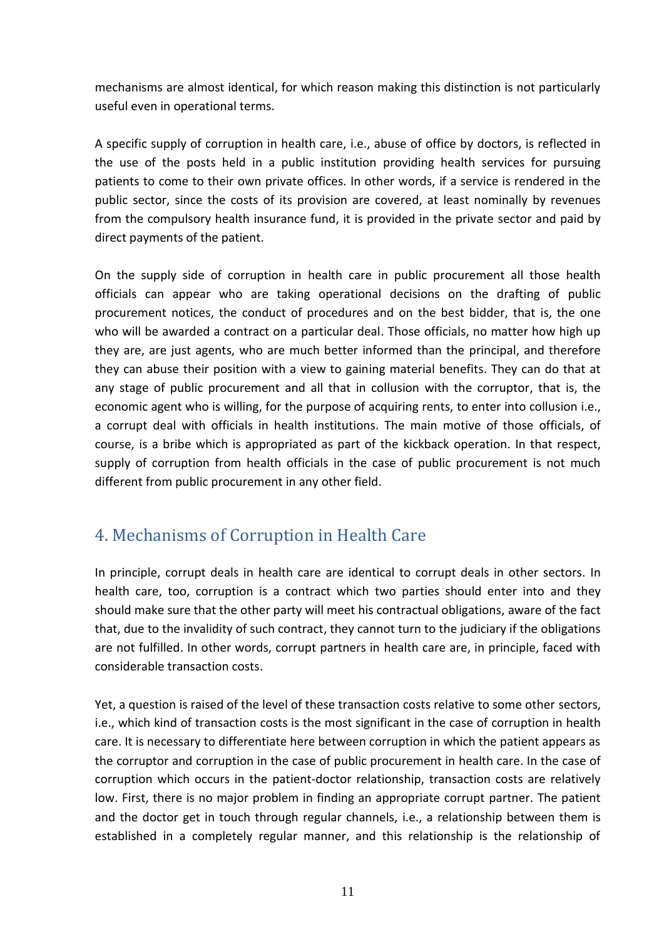mechanisms are almost identical, for which reason making this distinction is not particularly useful even in operational terms.

A specific supply of corruption in health care, i.e., abuse of office by doctors, is reflected in the use of the posts held in a public institution providing health services for pursuing patients to come to their own private offices. In other words, if a service is rendered in the public sector, since the costs of its provision are covered, at least nominally by revenues from the compulsory health insurance fund, it is provided in the private sector and paid by direct payments of the patient.

On the supply side of corruption in health care in public procurement all those health officials can appear who are taking operational decisions on the drafting of public procurement notices, the conduct of procedures and on the best bidder, that is, the one who will be awarded a contract on a particular deal. Those officials, no matter how high up they are, are just agents, who are much better informed than the principal, and therefore they can abuse their position with a view to gaining material benefits. They can do that at any stage of public procurement and all that in collusion with the corruptor, that is, the economic agent who is willing, for the purpose of acquiring rents, to enter into collusion i.e., a corrupt deal with officials in health institutions. The main motive of those officials, of course, is a bribe which is appropriated as part of the kickback operation. In that respect, supply of corruption from health officials in the case of public procurement is not much different from public procurement in any other field.

#### <span id="page-10-0"></span>4. Mechanisms of Corruption in Health Care

In principle, corrupt deals in health care are identical to corrupt deals in other sectors. In health care, too, corruption is a contract which two parties should enter into and they should make sure that the other party will meet his contractual obligations, aware of the fact that, due to the invalidity of such contract, they cannot turn to the judiciary if the obligations are not fulfilled. In other words, corrupt partners in health care are, in principle, faced with considerable transaction costs.

Yet, a question is raised of the level of these transaction costs relative to some other sectors, i.e., which kind of transaction costs is the most significant in the case of corruption in health care. It is necessary to differentiate here between corruption in which the patient appears as the corruptor and corruption in the case of public procurement in health care. In the case of corruption which occurs in the patient-doctor relationship, transaction costs are relatively low. First, there is no major problem in finding an appropriate corrupt partner. The patient and the doctor get in touch through regular channels, i.e., a relationship between them is established in a completely regular manner, and this relationship is the relationship of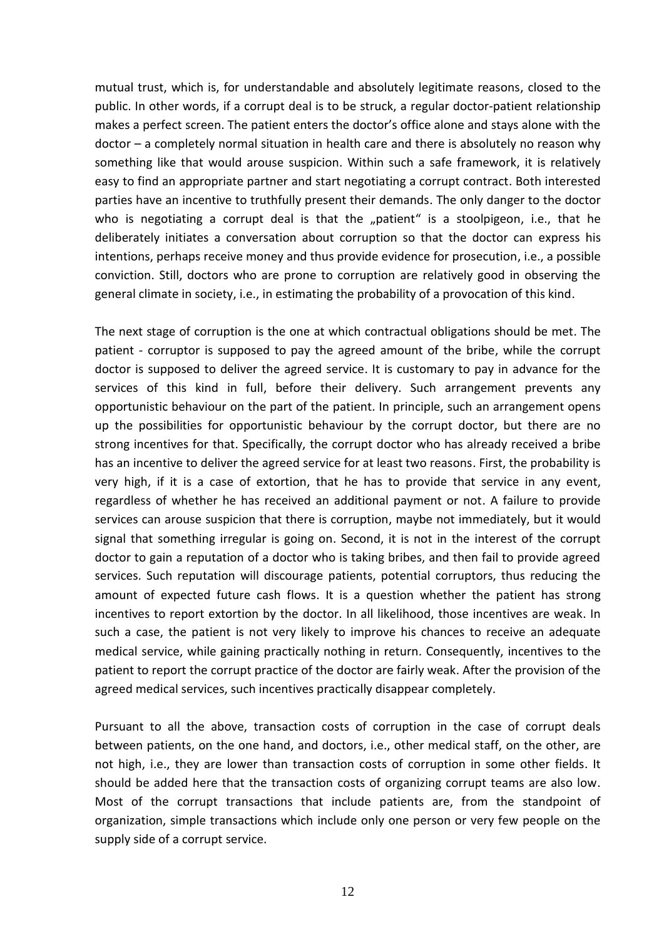mutual trust, which is, for understandable and absolutely legitimate reasons, closed to the public. In other words, if a corrupt deal is to be struck, a regular doctor-patient relationship makes a perfect screen. The patient enters the doctor's office alone and stays alone with the doctor – a completely normal situation in health care and there is absolutely no reason why something like that would arouse suspicion. Within such a safe framework, it is relatively easy to find an appropriate partner and start negotiating a corrupt contract. Both interested parties have an incentive to truthfully present their demands. The only danger to the doctor who is negotiating a corrupt deal is that the "patient" is a stoolpigeon, i.e., that he deliberately initiates a conversation about corruption so that the doctor can express his intentions, perhaps receive money and thus provide evidence for prosecution, i.e., a possible conviction. Still, doctors who are prone to corruption are relatively good in observing the general climate in society, i.e., in estimating the probability of a provocation of this kind.

The next stage of corruption is the one at which contractual obligations should be met. The patient - corruptor is supposed to pay the agreed amount of the bribe, while the corrupt doctor is supposed to deliver the agreed service. It is customary to pay in advance for the services of this kind in full, before their delivery. Such arrangement prevents any opportunistic behaviour on the part of the patient. In principle, such an arrangement opens up the possibilities for opportunistic behaviour by the corrupt doctor, but there are no strong incentives for that. Specifically, the corrupt doctor who has already received a bribe has an incentive to deliver the agreed service for at least two reasons. First, the probability is very high, if it is a case of extortion, that he has to provide that service in any event, regardless of whether he has received an additional payment or not. A failure to provide services can arouse suspicion that there is corruption, maybe not immediately, but it would signal that something irregular is going on. Second, it is not in the interest of the corrupt doctor to gain a reputation of a doctor who is taking bribes, and then fail to provide agreed services. Such reputation will discourage patients, potential corruptors, thus reducing the amount of expected future cash flows. It is a question whether the patient has strong incentives to report extortion by the doctor. In all likelihood, those incentives are weak. In such a case, the patient is not very likely to improve his chances to receive an adequate medical service, while gaining practically nothing in return. Consequently, incentives to the patient to report the corrupt practice of the doctor are fairly weak. After the provision of the agreed medical services, such incentives practically disappear completely.

Pursuant to all the above, transaction costs of corruption in the case of corrupt deals between patients, on the one hand, and doctors, i.e., other medical staff, on the other, are not high, i.e., they are lower than transaction costs of corruption in some other fields. It should be added here that the transaction costs of organizing corrupt teams are also low. Most of the corrupt transactions that include patients are, from the standpoint of organization, simple transactions which include only one person or very few people on the supply side of a corrupt service.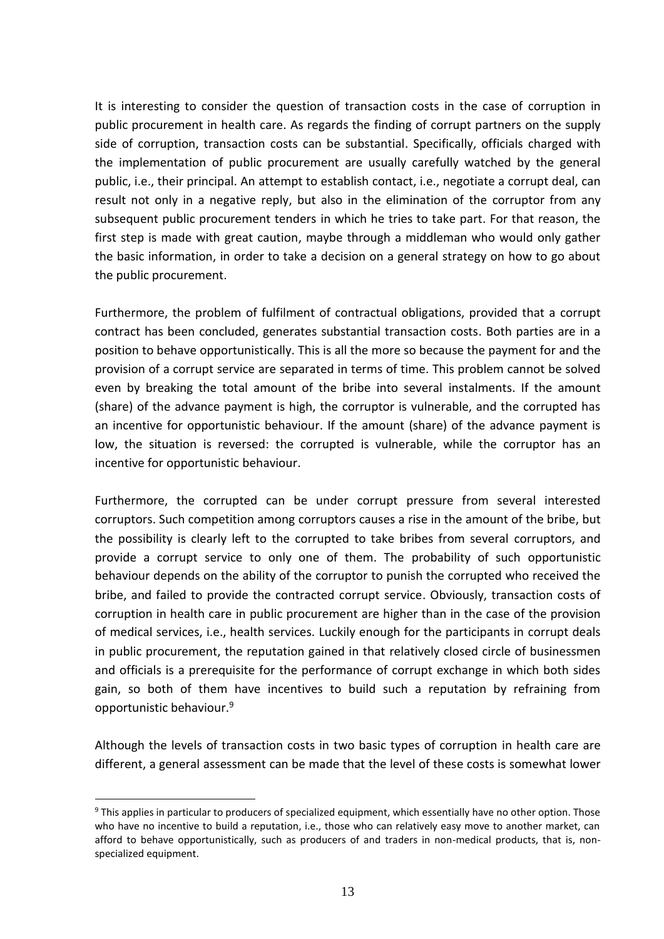It is interesting to consider the question of transaction costs in the case of corruption in public procurement in health care. As regards the finding of corrupt partners on the supply side of corruption, transaction costs can be substantial. Specifically, officials charged with the implementation of public procurement are usually carefully watched by the general public, i.e., their principal. An attempt to establish contact, i.e., negotiate a corrupt deal, can result not only in a negative reply, but also in the elimination of the corruptor from any subsequent public procurement tenders in which he tries to take part. For that reason, the first step is made with great caution, maybe through a middleman who would only gather the basic information, in order to take a decision on a general strategy on how to go about the public procurement.

Furthermore, the problem of fulfilment of contractual obligations, provided that a corrupt contract has been concluded, generates substantial transaction costs. Both parties are in a position to behave opportunistically. This is all the more so because the payment for and the provision of a corrupt service are separated in terms of time. This problem cannot be solved even by breaking the total amount of the bribe into several instalments. If the amount (share) of the advance payment is high, the corruptor is vulnerable, and the corrupted has an incentive for opportunistic behaviour. If the amount (share) of the advance payment is low, the situation is reversed: the corrupted is vulnerable, while the corruptor has an incentive for opportunistic behaviour.

Furthermore, the corrupted can be under corrupt pressure from several interested corruptors. Such competition among corruptors causes a rise in the amount of the bribe, but the possibility is clearly left to the corrupted to take bribes from several corruptors, and provide a corrupt service to only one of them. The probability of such opportunistic behaviour depends on the ability of the corruptor to punish the corrupted who received the bribe, and failed to provide the contracted corrupt service. Obviously, transaction costs of corruption in health care in public procurement are higher than in the case of the provision of medical services, i.e., health services. Luckily enough for the participants in corrupt deals in public procurement, the reputation gained in that relatively closed circle of businessmen and officials is a prerequisite for the performance of corrupt exchange in which both sides gain, so both of them have incentives to build such a reputation by refraining from opportunistic behaviour. 9

Although the levels of transaction costs in two basic types of corruption in health care are different, a general assessment can be made that the level of these costs is somewhat lower

<sup>9</sup> This applies in particular to producers of specialized equipment, which essentially have no other option. Those who have no incentive to build a reputation, i.e., those who can relatively easy move to another market, can afford to behave opportunistically, such as producers of and traders in non-medical products, that is, nonspecialized equipment.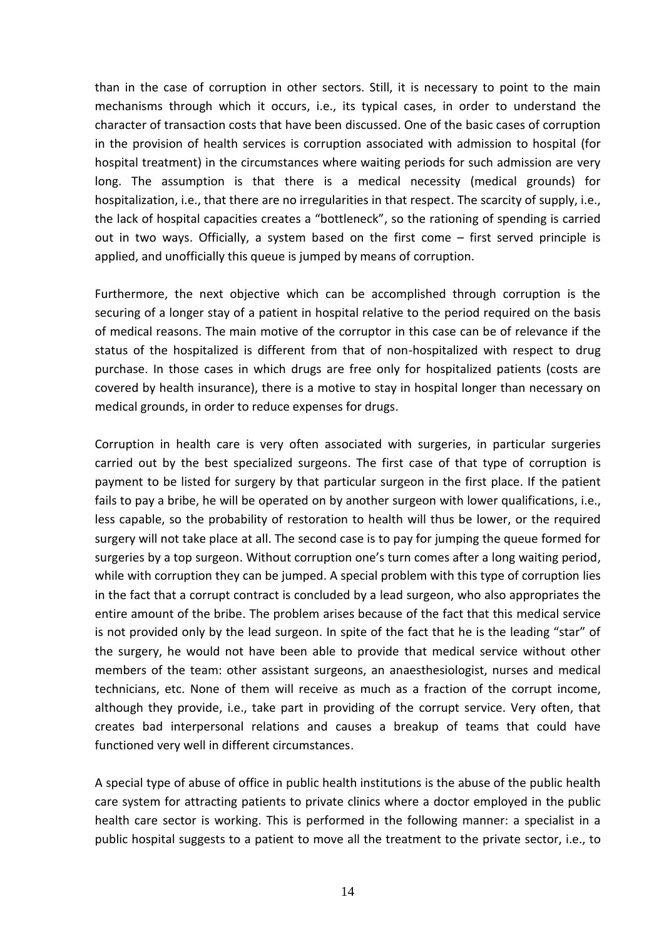than in the case of corruption in other sectors. Still, it is necessary to point to the main mechanisms through which it occurs, i.e., its typical cases, in order to understand the character of transaction costs that have been discussed. One of the basic cases of corruption in the provision of health services is corruption associated with admission to hospital (for hospital treatment) in the circumstances where waiting periods for such admission are very long. The assumption is that there is a medical necessity (medical grounds) for hospitalization, i.e., that there are no irregularities in that respect. The scarcity of supply, i.e., the lack of hospital capacities creates a "bottleneck", so the rationing of spending is carried out in two ways. Officially, a system based on the first come – first served principle is applied, and unofficially this queue is jumped by means of corruption.

Furthermore, the next objective which can be accomplished through corruption is the securing of a longer stay of a patient in hospital relative to the period required on the basis of medical reasons. The main motive of the corruptor in this case can be of relevance if the status of the hospitalized is different from that of non-hospitalized with respect to drug purchase. In those cases in which drugs are free only for hospitalized patients (costs are covered by health insurance), there is a motive to stay in hospital longer than necessary on medical grounds, in order to reduce expenses for drugs.

Corruption in health care is very often associated with surgeries, in particular surgeries carried out by the best specialized surgeons. The first case of that type of corruption is payment to be listed for surgery by that particular surgeon in the first place. If the patient fails to pay a bribe, he will be operated on by another surgeon with lower qualifications, i.e., less capable, so the probability of restoration to health will thus be lower, or the required surgery will not take place at all. The second case is to pay for jumping the queue formed for surgeries by a top surgeon. Without corruption one's turn comes after a long waiting period, while with corruption they can be jumped. A special problem with this type of corruption lies in the fact that a corrupt contract is concluded by a lead surgeon, who also appropriates the entire amount of the bribe. The problem arises because of the fact that this medical service is not provided only by the lead surgeon. In spite of the fact that he is the leading "star" of the surgery, he would not have been able to provide that medical service without other members of the team: other assistant surgeons, an anaesthesiologist, nurses and medical technicians, etc. None of them will receive as much as a fraction of the corrupt income, although they provide, i.e., take part in providing of the corrupt service. Very often, that creates bad interpersonal relations and causes a breakup of teams that could have functioned very well in different circumstances.

A special type of abuse of office in public health institutions is the abuse of the public health care system for attracting patients to private clinics where a doctor employed in the public health care sector is working. This is performed in the following manner: a specialist in a public hospital suggests to a patient to move all the treatment to the private sector, i.e., to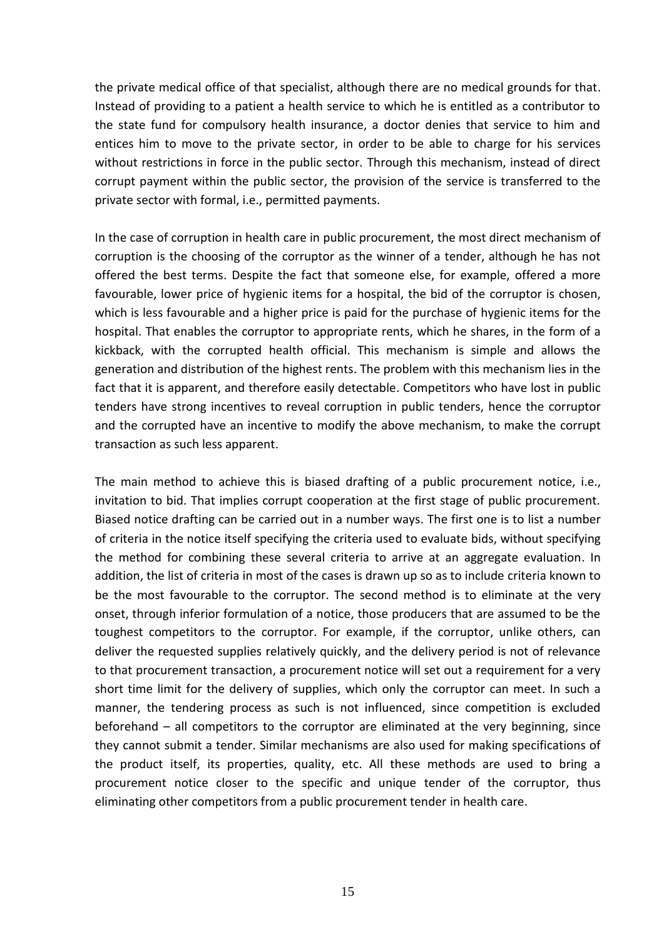the private medical office of that specialist, although there are no medical grounds for that. Instead of providing to a patient a health service to which he is entitled as a contributor to the state fund for compulsory health insurance, a doctor denies that service to him and entices him to move to the private sector, in order to be able to charge for his services without restrictions in force in the public sector. Through this mechanism, instead of direct corrupt payment within the public sector, the provision of the service is transferred to the private sector with formal, i.e., permitted payments.

In the case of corruption in health care in public procurement, the most direct mechanism of corruption is the choosing of the corruptor as the winner of a tender, although he has not offered the best terms. Despite the fact that someone else, for example, offered a more favourable, lower price of hygienic items for a hospital, the bid of the corruptor is chosen, which is less favourable and a higher price is paid for the purchase of hygienic items for the hospital. That enables the corruptor to appropriate rents, which he shares, in the form of a kickback, with the corrupted health official. This mechanism is simple and allows the generation and distribution of the highest rents. The problem with this mechanism lies in the fact that it is apparent, and therefore easily detectable. Competitors who have lost in public tenders have strong incentives to reveal corruption in public tenders, hence the corruptor and the corrupted have an incentive to modify the above mechanism, to make the corrupt transaction as such less apparent.

The main method to achieve this is biased drafting of a public procurement notice, i.e., invitation to bid. That implies corrupt cooperation at the first stage of public procurement. Biased notice drafting can be carried out in a number ways. The first one is to list a number of criteria in the notice itself specifying the criteria used to evaluate bids, without specifying the method for combining these several criteria to arrive at an aggregate evaluation. In addition, the list of criteria in most of the cases is drawn up so as to include criteria known to be the most favourable to the corruptor. The second method is to eliminate at the very onset, through inferior formulation of a notice, those producers that are assumed to be the toughest competitors to the corruptor. For example, if the corruptor, unlike others, can deliver the requested supplies relatively quickly, and the delivery period is not of relevance to that procurement transaction, a procurement notice will set out a requirement for a very short time limit for the delivery of supplies, which only the corruptor can meet. In such a manner, the tendering process as such is not influenced, since competition is excluded beforehand – all competitors to the corruptor are eliminated at the very beginning, since they cannot submit a tender. Similar mechanisms are also used for making specifications of the product itself, its properties, quality, etc. All these methods are used to bring a procurement notice closer to the specific and unique tender of the corruptor, thus eliminating other competitors from a public procurement tender in health care.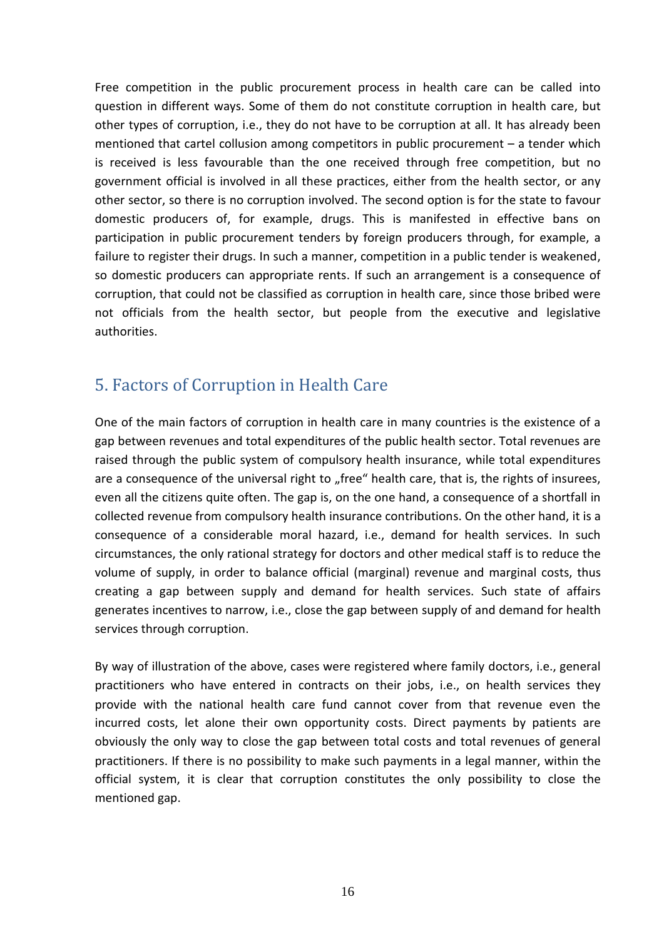Free competition in the public procurement process in health care can be called into question in different ways. Some of them do not constitute corruption in health care, but other types of corruption, i.e., they do not have to be corruption at all. It has already been mentioned that cartel collusion among competitors in public procurement – a tender which is received is less favourable than the one received through free competition, but no government official is involved in all these practices, either from the health sector, or any other sector, so there is no corruption involved. The second option is for the state to favour domestic producers of, for example, drugs. This is manifested in effective bans on participation in public procurement tenders by foreign producers through, for example, a failure to register their drugs. In such a manner, competition in a public tender is weakened, so domestic producers can appropriate rents. If such an arrangement is a consequence of corruption, that could not be classified as corruption in health care, since those bribed were not officials from the health sector, but people from the executive and legislative authorities.

## <span id="page-15-0"></span>5. Factors of Corruption in Health Care

One of the main factors of corruption in health care in many countries is the existence of a gap between revenues and total expenditures of the public health sector. Total revenues are raised through the public system of compulsory health insurance, while total expenditures are a consequence of the universal right to "free" health care, that is, the rights of insurees, even all the citizens quite often. The gap is, on the one hand, a consequence of a shortfall in collected revenue from compulsory health insurance contributions. On the other hand, it is a consequence of a considerable moral hazard, i.e., demand for health services. In such circumstances, the only rational strategy for doctors and other medical staff is to reduce the volume of supply, in order to balance official (marginal) revenue and marginal costs, thus creating a gap between supply and demand for health services. Such state of affairs generates incentives to narrow, i.e., close the gap between supply of and demand for health services through corruption.

By way of illustration of the above, cases were registered where family doctors, i.e., general practitioners who have entered in contracts on their jobs, i.e., on health services they provide with the national health care fund cannot cover from that revenue even the incurred costs, let alone their own opportunity costs. Direct payments by patients are obviously the only way to close the gap between total costs and total revenues of general practitioners. If there is no possibility to make such payments in a legal manner, within the official system, it is clear that corruption constitutes the only possibility to close the mentioned gap.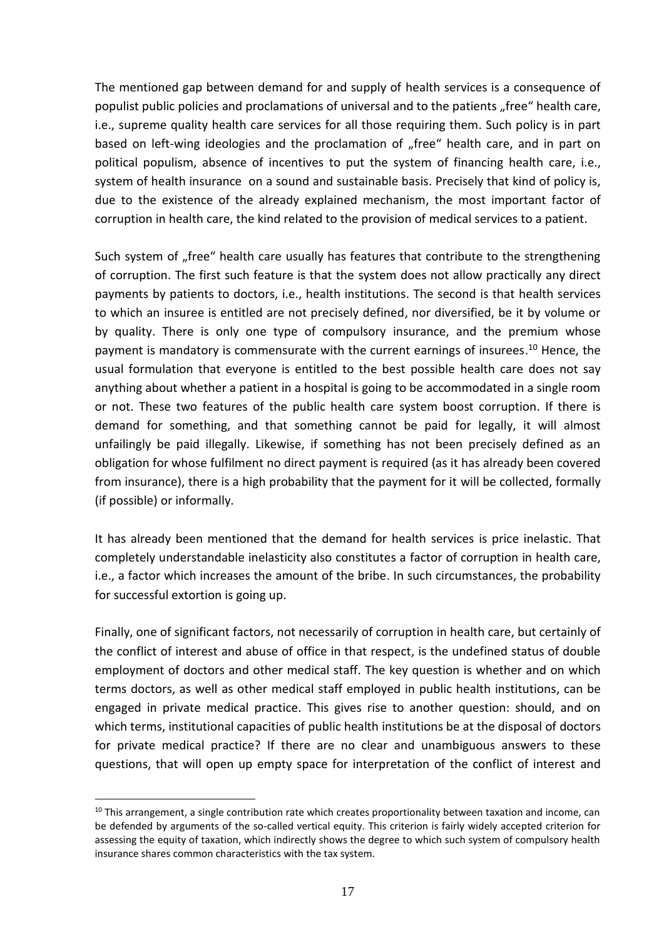The mentioned gap between demand for and supply of health services is a consequence of populist public policies and proclamations of universal and to the patients "free" health care, i.e., supreme quality health care services for all those requiring them. Such policy is in part based on left-wing ideologies and the proclamation of "free" health care, and in part on political populism, absence of incentives to put the system of financing health care, i.e., system of health insurance on a sound and sustainable basis. Precisely that kind of policy is, due to the existence of the already explained mechanism, the most important factor of corruption in health care, the kind related to the provision of medical services to a patient.

Such system of "free" health care usually has features that contribute to the strengthening of corruption. The first such feature is that the system does not allow practically any direct payments by patients to doctors, i.e., health institutions. The second is that health services to which an insuree is entitled are not precisely defined, nor diversified, be it by volume or by quality. There is only one type of compulsory insurance, and the premium whose payment is mandatory is commensurate with the current earnings of insurees. <sup>10</sup> Hence, the usual formulation that everyone is entitled to the best possible health care does not say anything about whether a patient in a hospital is going to be accommodated in a single room or not. These two features of the public health care system boost corruption. If there is demand for something, and that something cannot be paid for legally, it will almost unfailingly be paid illegally. Likewise, if something has not been precisely defined as an obligation for whose fulfilment no direct payment is required (as it has already been covered from insurance), there is a high probability that the payment for it will be collected, formally (if possible) or informally.

It has already been mentioned that the demand for health services is price inelastic. That completely understandable inelasticity also constitutes a factor of corruption in health care, i.e., a factor which increases the amount of the bribe. In such circumstances, the probability for successful extortion is going up.

Finally, one of significant factors, not necessarily of corruption in health care, but certainly of the conflict of interest and abuse of office in that respect, is the undefined status of double employment of doctors and other medical staff. The key question is whether and on which terms doctors, as well as other medical staff employed in public health institutions, can be engaged in private medical practice. This gives rise to another question: should, and on which terms, institutional capacities of public health institutions be at the disposal of doctors for private medical practice? If there are no clear and unambiguous answers to these questions, that will open up empty space for interpretation of the conflict of interest and

 $10$  This arrangement, a single contribution rate which creates proportionality between taxation and income, can be defended by arguments of the so-called vertical equity. This criterion is fairly widely accepted criterion for assessing the equity of taxation, which indirectly shows the degree to which such system of compulsory health insurance shares common characteristics with the tax system.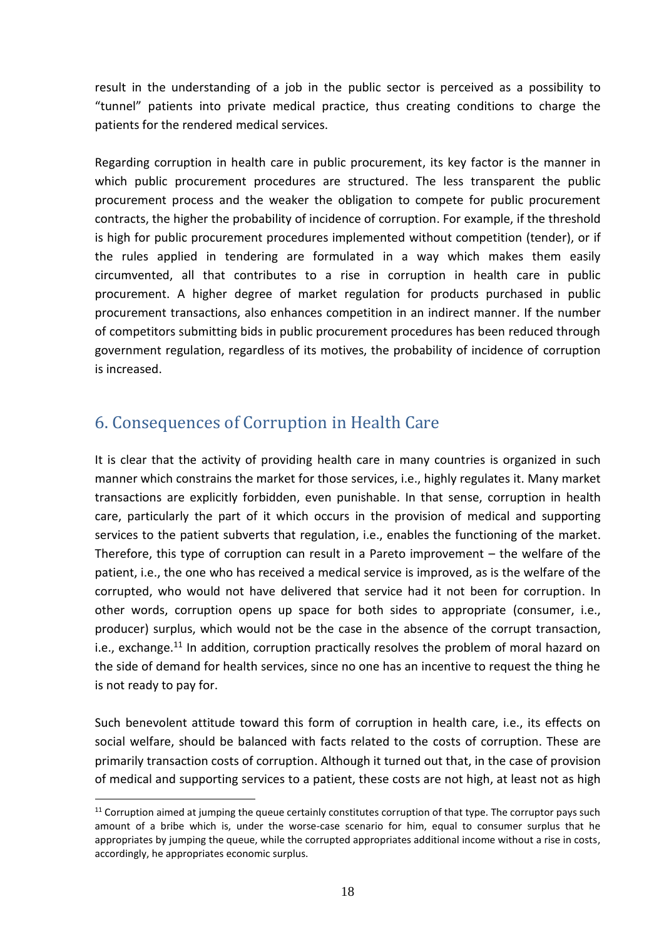result in the understanding of a job in the public sector is perceived as a possibility to "tunnel" patients into private medical practice, thus creating conditions to charge the patients for the rendered medical services.

Regarding corruption in health care in public procurement, its key factor is the manner in which public procurement procedures are structured. The less transparent the public procurement process and the weaker the obligation to compete for public procurement contracts, the higher the probability of incidence of corruption. For example, if the threshold is high for public procurement procedures implemented without competition (tender), or if the rules applied in tendering are formulated in a way which makes them easily circumvented, all that contributes to a rise in corruption in health care in public procurement. A higher degree of market regulation for products purchased in public procurement transactions, also enhances competition in an indirect manner. If the number of competitors submitting bids in public procurement procedures has been reduced through government regulation, regardless of its motives, the probability of incidence of corruption is increased.

## <span id="page-17-0"></span>6. Consequences of Corruption in Health Care

1

It is clear that the activity of providing health care in many countries is organized in such manner which constrains the market for those services, i.e., highly regulates it. Many market transactions are explicitly forbidden, even punishable. In that sense, corruption in health care, particularly the part of it which occurs in the provision of medical and supporting services to the patient subverts that regulation, i.e., enables the functioning of the market. Therefore, this type of corruption can result in a Pareto improvement – the welfare of the patient, i.e., the one who has received a medical service is improved, as is the welfare of the corrupted, who would not have delivered that service had it not been for corruption. In other words, corruption opens up space for both sides to appropriate (consumer, i.e., producer) surplus, which would not be the case in the absence of the corrupt transaction, i.e., exchange.<sup>11</sup> In addition, corruption practically resolves the problem of moral hazard on the side of demand for health services, since no one has an incentive to request the thing he is not ready to pay for.

Such benevolent attitude toward this form of corruption in health care, i.e., its effects on social welfare, should be balanced with facts related to the costs of corruption. These are primarily transaction costs of corruption. Although it turned out that, in the case of provision of medical and supporting services to a patient, these costs are not high, at least not as high

 $11$  Corruption aimed at jumping the queue certainly constitutes corruption of that type. The corruptor pays such amount of a bribe which is, under the worse-case scenario for him, equal to consumer surplus that he appropriates by jumping the queue, while the corrupted appropriates additional income without a rise in costs, accordingly, he appropriates economic surplus.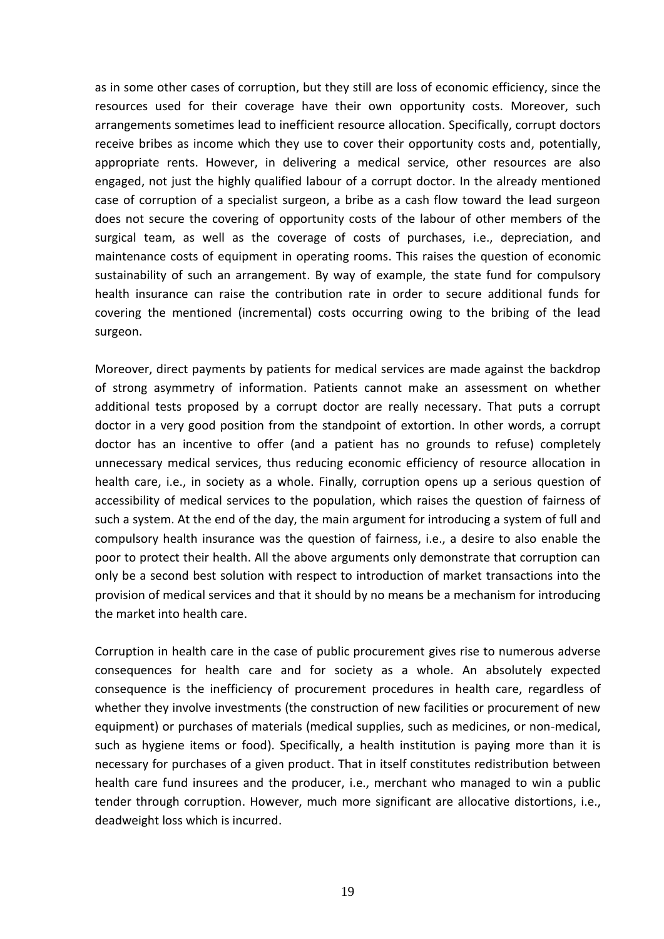as in some other cases of corruption, but they still are loss of economic efficiency, since the resources used for their coverage have their own opportunity costs. Moreover, such arrangements sometimes lead to inefficient resource allocation. Specifically, corrupt doctors receive bribes as income which they use to cover their opportunity costs and, potentially, appropriate rents. However, in delivering a medical service, other resources are also engaged, not just the highly qualified labour of a corrupt doctor. In the already mentioned case of corruption of a specialist surgeon, a bribe as a cash flow toward the lead surgeon does not secure the covering of opportunity costs of the labour of other members of the surgical team, as well as the coverage of costs of purchases, i.e., depreciation, and maintenance costs of equipment in operating rooms. This raises the question of economic sustainability of such an arrangement. By way of example, the state fund for compulsory health insurance can raise the contribution rate in order to secure additional funds for covering the mentioned (incremental) costs occurring owing to the bribing of the lead surgeon.

Moreover, direct payments by patients for medical services are made against the backdrop of strong asymmetry of information. Patients cannot make an assessment on whether additional tests proposed by a corrupt doctor are really necessary. That puts a corrupt doctor in a very good position from the standpoint of extortion. In other words, a corrupt doctor has an incentive to offer (and a patient has no grounds to refuse) completely unnecessary medical services, thus reducing economic efficiency of resource allocation in health care, i.e., in society as a whole. Finally, corruption opens up a serious question of accessibility of medical services to the population, which raises the question of fairness of such a system. At the end of the day, the main argument for introducing a system of full and compulsory health insurance was the question of fairness, i.e., a desire to also enable the poor to protect their health. All the above arguments only demonstrate that corruption can only be a second best solution with respect to introduction of market transactions into the provision of medical services and that it should by no means be a mechanism for introducing the market into health care.

Corruption in health care in the case of public procurement gives rise to numerous adverse consequences for health care and for society as a whole. An absolutely expected consequence is the inefficiency of procurement procedures in health care, regardless of whether they involve investments (the construction of new facilities or procurement of new equipment) or purchases of materials (medical supplies, such as medicines, or non-medical, such as hygiene items or food). Specifically, a health institution is paying more than it is necessary for purchases of a given product. That in itself constitutes redistribution between health care fund insurees and the producer, i.e., merchant who managed to win a public tender through corruption. However, much more significant are allocative distortions, i.e., deadweight loss which is incurred.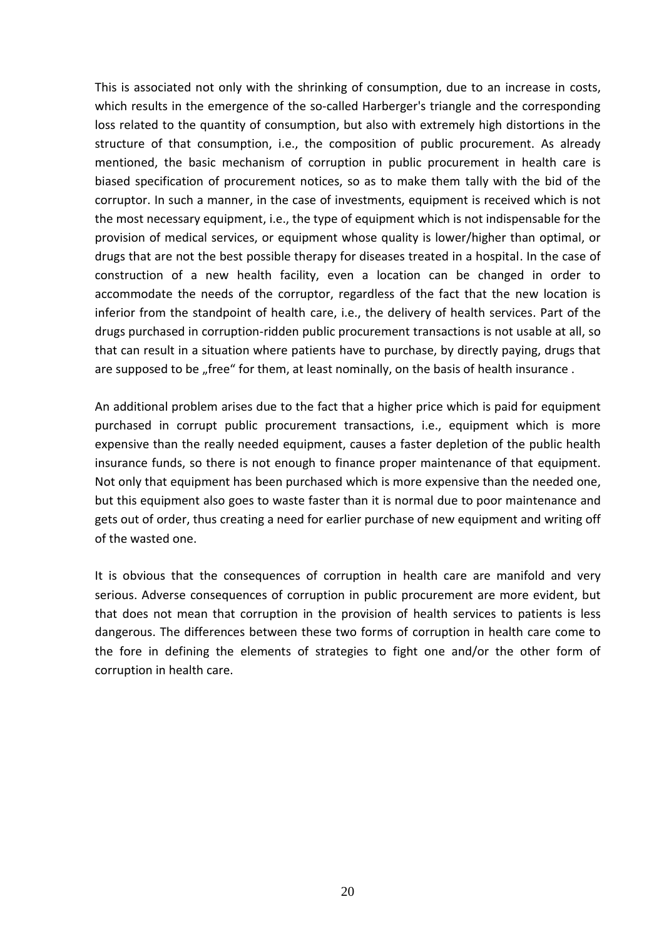This is associated not only with the shrinking of consumption, due to an increase in costs, which results in the emergence of the so-called Harberger's triangle and the corresponding loss related to the quantity of consumption, but also with extremely high distortions in the structure of that consumption, i.e., the composition of public procurement. As already mentioned, the basic mechanism of corruption in public procurement in health care is biased specification of procurement notices, so as to make them tally with the bid of the corruptor. In such a manner, in the case of investments, equipment is received which is not the most necessary equipment, i.e., the type of equipment which is not indispensable for the provision of medical services, or equipment whose quality is lower/higher than optimal, or drugs that are not the best possible therapy for diseases treated in a hospital. In the case of construction of a new health facility, even a location can be changed in order to accommodate the needs of the corruptor, regardless of the fact that the new location is inferior from the standpoint of health care, i.e., the delivery of health services. Part of the drugs purchased in corruption-ridden public procurement transactions is not usable at all, so that can result in a situation where patients have to purchase, by directly paying, drugs that are supposed to be "free" for them, at least nominally, on the basis of health insurance.

An additional problem arises due to the fact that a higher price which is paid for equipment purchased in corrupt public procurement transactions, i.e., equipment which is more expensive than the really needed equipment, causes a faster depletion of the public health insurance funds, so there is not enough to finance proper maintenance of that equipment. Not only that equipment has been purchased which is more expensive than the needed one, but this equipment also goes to waste faster than it is normal due to poor maintenance and gets out of order, thus creating a need for earlier purchase of new equipment and writing off of the wasted one.

It is obvious that the consequences of corruption in health care are manifold and very serious. Adverse consequences of corruption in public procurement are more evident, but that does not mean that corruption in the provision of health services to patients is less dangerous. The differences between these two forms of corruption in health care come to the fore in defining the elements of strategies to fight one and/or the other form of corruption in health care.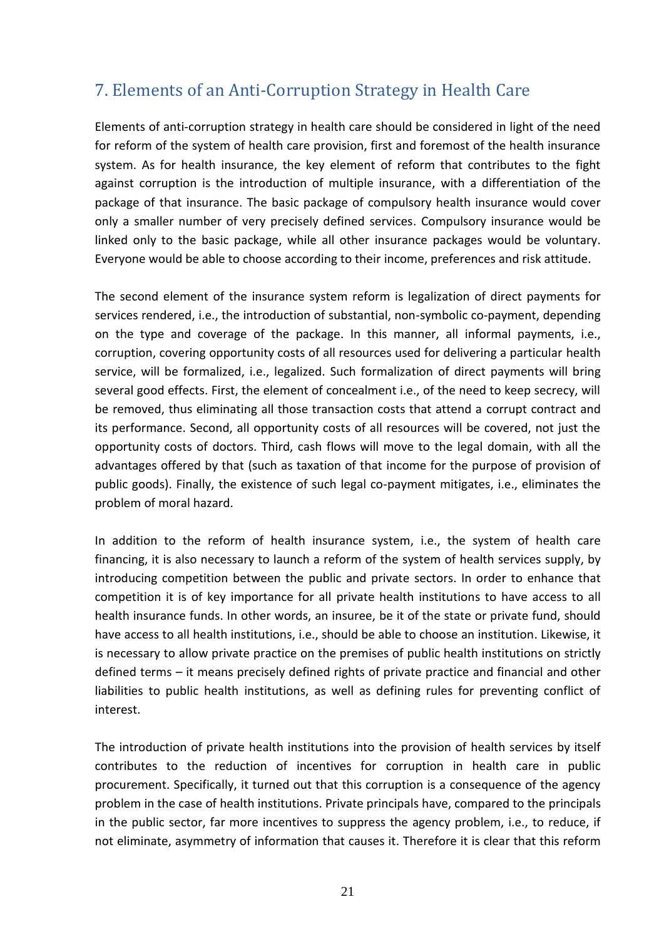## <span id="page-20-0"></span>7. Elements of an Anti-Corruption Strategy in Health Care

Elements of anti-corruption strategy in health care should be considered in light of the need for reform of the system of health care provision, first and foremost of the health insurance system. As for health insurance, the key element of reform that contributes to the fight against corruption is the introduction of multiple insurance, with a differentiation of the package of that insurance. The basic package of compulsory health insurance would cover only a smaller number of very precisely defined services. Compulsory insurance would be linked only to the basic package, while all other insurance packages would be voluntary. Everyone would be able to choose according to their income, preferences and risk attitude.

The second element of the insurance system reform is legalization of direct payments for services rendered, i.e., the introduction of substantial, non-symbolic co-payment, depending on the type and coverage of the package. In this manner, all informal payments, i.e., corruption, covering opportunity costs of all resources used for delivering a particular health service, will be formalized, i.e., legalized. Such formalization of direct payments will bring several good effects. First, the element of concealment i.e., of the need to keep secrecy, will be removed, thus eliminating all those transaction costs that attend a corrupt contract and its performance. Second, all opportunity costs of all resources will be covered, not just the opportunity costs of doctors. Third, cash flows will move to the legal domain, with all the advantages offered by that (such as taxation of that income for the purpose of provision of public goods). Finally, the existence of such legal co-payment mitigates, i.e., eliminates the problem of moral hazard.

In addition to the reform of health insurance system, i.e., the system of health care financing, it is also necessary to launch a reform of the system of health services supply, by introducing competition between the public and private sectors. In order to enhance that competition it is of key importance for all private health institutions to have access to all health insurance funds. In other words, an insuree, be it of the state or private fund, should have access to all health institutions, i.e., should be able to choose an institution. Likewise, it is necessary to allow private practice on the premises of public health institutions on strictly defined terms – it means precisely defined rights of private practice and financial and other liabilities to public health institutions, as well as defining rules for preventing conflict of interest.

The introduction of private health institutions into the provision of health services by itself contributes to the reduction of incentives for corruption in health care in public procurement. Specifically, it turned out that this corruption is a consequence of the agency problem in the case of health institutions. Private principals have, compared to the principals in the public sector, far more incentives to suppress the agency problem, i.e., to reduce, if not eliminate, asymmetry of information that causes it. Therefore it is clear that this reform